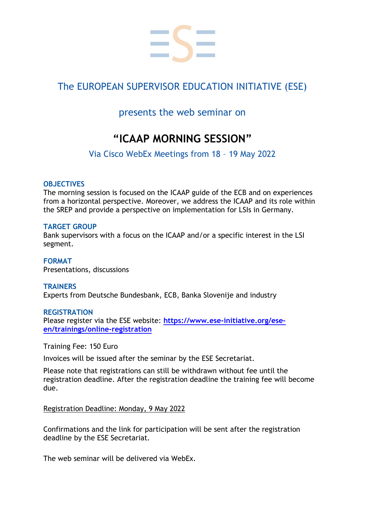

# The EUROPEAN SUPERVISOR EDUCATION INITIATIVE (ESE)

# presents the web seminar on

# **"ICAAP MORNING SESSION"**

Via Cisco WebEx Meetings from 18 – 19 May 2022

#### **OBJECTIVES**

The morning session is focused on the ICAAP guide of the ECB and on experiences from a horizontal perspective. Moreover, we address the ICAAP and its role within the SREP and provide a perspective on implementation for LSIs in Germany.

#### **TARGET GROUP**

Bank supervisors with a focus on the ICAAP and/or a specific interest in the LSI segment.

**FORMAT** Presentations, discussions

#### **TRAINERS** Experts from Deutsche Bundesbank, ECB, Banka Slovenije and industry

#### **REGISTRATION**

Please register via the ESE website: **[https://www.ese-initiative.org/ese](https://www.ese-initiative.org/ese-en/trainings/online-registration)[en/trainings/online-registration](https://www.ese-initiative.org/ese-en/trainings/online-registration)**

Training Fee: 150 Euro

Invoices will be issued after the seminar by the ESE Secretariat.

Please note that registrations can still be withdrawn without fee until the registration deadline. After the registration deadline the training fee will become due.

Registration Deadline: Monday, 9 May 2022

Confirmations and the link for participation will be sent after the registration deadline by the ESE Secretariat.

The web seminar will be delivered via WebEx.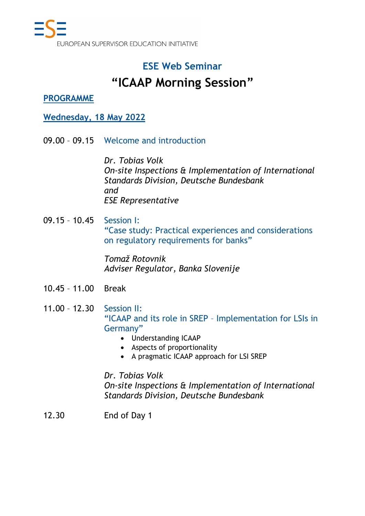# **ESE Web Seminar**

# **"ICAAP Morning Session"**

### **PROGRAMME**

### **Wednesday, 18 May 2022**

09.00 – 09.15 Welcome and introduction

*Dr. Tobias Volk On-site Inspections & Implementation of International Standards Division, Deutsche Bundesbank and ESE Representative*

09.15 – 10.45 Session I: "Case study: Practical experiences and considerations on regulatory requirements for banks"

> *Tomaž Rotovnik Adviser Regulator, Banka Slovenije*

- 10.45 11.00 Break
- 11.00 12.30 Session II: "ICAAP and its role in SREP – Implementation for LSIs in Germany"
	- Understanding ICAAP
	- Aspects of proportionality
	- A pragmatic ICAAP approach for LSI SREP

### *Dr. Tobias Volk*

*On-site Inspections & Implementation of International Standards Division, Deutsche Bundesbank*

12.30 End of Day 1